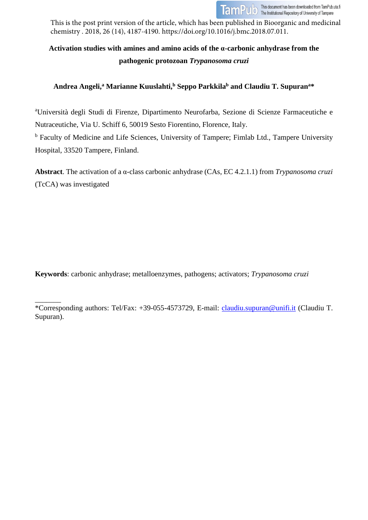

This is the post print version of the article, which has been published in Bioorganic and medicinal chemistry . 2018, 26 (14), 4187-4190. https://doi.org/10.1016/j.bmc.2018.07.011.

# **Activation studies with amines and amino acids of the α-carbonic anhydrase from the pathogenic protozoan** *Trypanosoma cruzi*

# **Andrea Angeli, <sup>a</sup> Marianne Kuuslahti, <sup>b</sup> Seppo Parkkilab and Claudiu T. Supurana\***

a Università degli Studi di Firenze, Dipartimento Neurofarba, Sezione di Scienze Farmaceutiche e Nutraceutiche, Via U. Schiff 6, 50019 Sesto Fiorentino, Florence, Italy.

<sup>b</sup> Faculty of Medicine and Life Sciences, University of Tampere; Fimlab Ltd., Tampere University Hospital, 33520 Tampere, Finland.

**Abstract**. The activation of a α-class carbonic anhydrase (CAs, EC 4.2.1.1) from *Trypanosoma cruzi* (TcCA) was investigated

**Keywords**: carbonic anhydrase; metalloenzymes, pathogens; activators; *Trypanosoma cruzi*

 $\overline{\phantom{a}}$ \*Corresponding authors: Tel/Fax: +39-055-4573729, E-mail: [claudiu.supuran@unifi.it](mailto:claudiu.supuran@unifi.it) (Claudiu T. Supuran).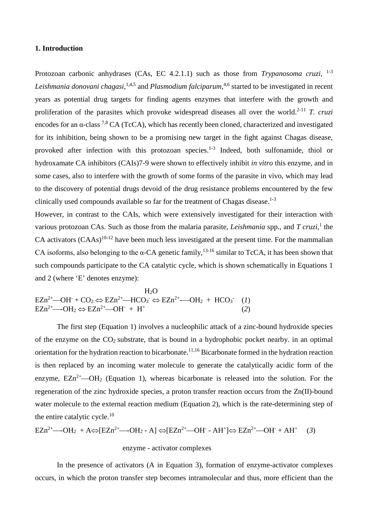#### **1. Introduction**

Protozoan carbonic anhydrases (CAs, EC 4.2.1.1) such as those from *Trypanosoma cruzi*, <sup>1-3</sup> *Leishmania donovani chagasi*, 1,4,5 and *Plasmodium falciparum*, 4,6 started to be investigated in recent years as potential drug targets for finding agents enzymes that interfere with the growth and proliferation of the parasites which provoke widespread diseases all over the world. 2-11 *T. cruzi* encodes for an  $\alpha$ -class <sup>7,8</sup> CA (TcCA), which has recently been cloned, characterized and investigated for its inhibition, being shown to be a promising new target in the fight against Chagas disease, provoked after infection with this protozoan species.<sup>1-3</sup> Indeed, both sulfonamide, thiol or hydroxamate CA inhibitors (CAIs)7-9 were shown to effectively inhibit *in vitro* this enzyme, and in some cases, also to interfere with the growth of some forms of the parasite in vivo, which may lead to the discovery of potential drugs devoid of the drug resistance problems encountered by the few clinically used compounds available so far for the treatment of Chagas disease. $1-3$ 

However, in contrast to the CAIs, which were extensively investigated for their interaction with various protozoan CAs. Such as those from the malaria parasite, *Leishmania* spp., and *T cruzi*, <sup>1</sup> the CA activators  $(CAAs)^{10-12}$  have been much less investigated at the present time. For the mammalian CA isoforms, also belonging to the  $\alpha$ -CA genetic family, <sup>13-16</sup> similar to TcCA, it has been shown that such compounds participate to the CA catalytic cycle, which is shown schematically in Equations 1 and 2 (where 'E' denotes enzyme):

$$
H_2O
$$
  
\n
$$
EZn^{2+} - OH^- + CO_2 \Leftrightarrow EZn^{2+} - HCO_3^- \Leftrightarrow EZn^{2+} - OH_2 + HCO_3^- \quad (1)
$$
  
\n
$$
EZn^{2+} - OH_2 \Leftrightarrow EZn^{2+} - OH^- + H^+ \quad (2)
$$

The first step (Equation 1) involves a nucleophilic attack of a zinc-bound hydroxide species of the enzyme on the  $CO<sub>2</sub>$  substrate, that is bound in a hydrophobic pocket nearby. in an optimal orientation for the hydration reaction to bicarbonate. 11,16 Bicarbonate formed in the hydration reaction is then replaced by an incoming water molecule to generate the catalytically acidic form of the enzyme,  $EZn^{2+}$  OH<sub>2</sub> (Equation 1), whereas bicarbonate is released into the solution. For the regeneration of the zinc hydroxide species, a proton transfer reaction occurs from the Zn(II)-bound water molecule to the external reaction medium (Equation 2), which is the rate-determining step of the entire catalytic cycle. $^{10}$ 

$$
EZn^{2+} \longrightarrow OH_2 + A \Leftrightarrow [EZn^{2+} \longrightarrow OH_2 - A] \Leftrightarrow [EZn^{2+} \longrightarrow OH - AH^+] \Leftrightarrow EZn^{2+} \longrightarrow OH^- + AH^+ \quad (3)
$$

# enzyme - activator complexes

In the presence of activators (A in Equation 3), formation of enzyme-activator complexes occurs, in which the proton transfer step becomes intramolecular and thus, more efficient than the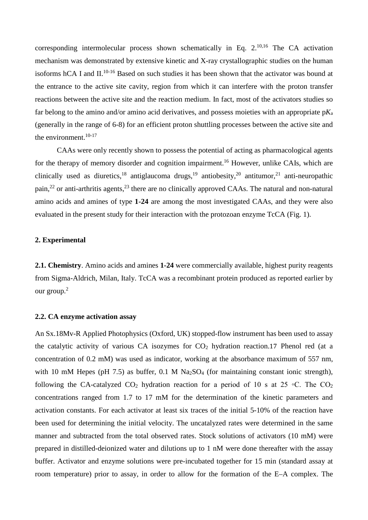corresponding intermolecular process shown schematically in Eq.  $2.^{10,16}$  The CA activation mechanism was demonstrated by extensive kinetic and X-ray crystallographic studies on the human isoforms hCA I and II.<sup>10-16</sup> Based on such studies it has been shown that the activator was bound at the entrance to the active site cavity, region from which it can interfere with the proton transfer reactions between the active site and the reaction medium. In fact, most of the activators studies so far belong to the amino and/or amino acid derivatives, and possess moieties with an appropriate p*K*<sup>a</sup> (generally in the range of 6-8) for an efficient proton shuttling processes between the active site and the environment.<sup>10-17</sup>

CAAs were only recently shown to possess the potential of acting as pharmacological agents for the therapy of memory disorder and cognition impairment.<sup>16</sup> However, unlike CAIs, which are clinically used as diuretics,<sup>18</sup> antiglaucoma drugs,<sup>19</sup> antiobesity,<sup>20</sup> antitumor,<sup>21</sup> anti-neuropathic pain,<sup>22</sup> or anti-arthritis agents,<sup>23</sup> there are no clinically approved CAAs. The natural and non-natural amino acids and amines of type **1-24** are among the most investigated CAAs, and they were also evaluated in the present study for their interaction with the protozoan enzyme TcCA (Fig. 1).

### **2. Experimental**

**2.1. Chemistry**. Amino acids and amines **1-24** were commercially available, highest purity reagents from Sigma-Aldrich, Milan, Italy. TcCA was a recombinant protein produced as reported earlier by our group.<sup>2</sup>

#### **2.2. CA enzyme activation assay**

An Sx.18Mv-R Applied Photophysics (Oxford, UK) stopped-flow instrument has been used to assay the catalytic activity of various CA isozymes for  $CO<sub>2</sub>$  hydration reaction.17 Phenol red (at a concentration of 0.2 mM) was used as indicator, working at the absorbance maximum of 557 nm, with 10 mM Hepes (pH 7.5) as buffer, 0.1 M  $Na<sub>2</sub>SO<sub>4</sub>$  (for maintaining constant ionic strength), following the CA-catalyzed CO<sub>2</sub> hydration reaction for a period of 10 s at 25 °C. The CO<sub>2</sub> concentrations ranged from 1.7 to 17 mM for the determination of the kinetic parameters and activation constants. For each activator at least six traces of the initial 5-10% of the reaction have been used for determining the initial velocity. The uncatalyzed rates were determined in the same manner and subtracted from the total observed rates. Stock solutions of activators (10 mM) were prepared in distilled-deionized water and dilutions up to 1 nM were done thereafter with the assay buffer. Activator and enzyme solutions were pre-incubated together for 15 min (standard assay at room temperature) prior to assay, in order to allow for the formation of the E–A complex. The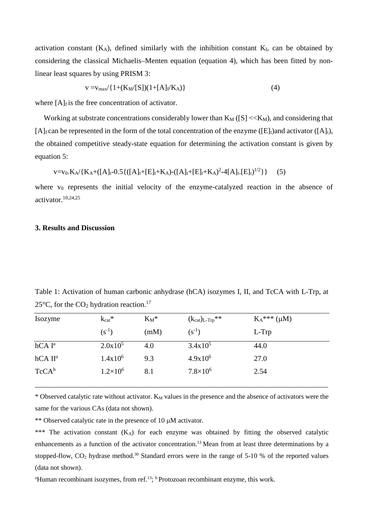activation constant  $(K_A)$ , defined similarly with the inhibition constant  $K_I$ , can be obtained by considering the classical Michaelis–Menten equation (equation 4), which has been fitted by nonlinear least squares by using PRISM 3:

$$
v = v_{max}/\{1 + (K_M/[S])(1 + [A]_f/K_A)\}\
$$
 (4)

where  $[A]_f$  is the free concentration of activator.

Working at substrate concentrations considerably lower than  $K_M([S], and considering that$ [A]<sub>f</sub> can be represented in the form of the total concentration of the enzyme ([E]<sub>t</sub>)and activator ([A]<sub>t</sub>), the obtained competitive steady-state equation for determining the activation constant is given by equation 5:

$$
v = v_0.K_A / \{K_A + ([A]_t - 0.5\{([A]_t + [E]_t + K_A) - ([A]_t + [E]_t + K_A)^2 - 4[A]_t [E]_t\}^{1/2}\}\
$$
 (5)

where  $v_0$  represents the initial velocity of the enzyme-catalyzed reaction in the absence of activator. 10,24,25

#### **3. Results and Discussion**

Table 1: Activation of human carbonic anhydrase (hCA) isozymes I, II, and TcCA with L-Trp, at 25 $\degree$ C, for the CO<sub>2</sub> hydration reaction.<sup>17</sup>

| Isozyme             | $k_{cat}$ *       | $\mathrm{K}_\mathrm{M}{}^*$ | $(k_{cat})_{L-Trp}$ ** | $K_A^{***}(\mu M)$ |
|---------------------|-------------------|-----------------------------|------------------------|--------------------|
|                     | $(s^{-1})$        | (mM)                        | $(s^{-1})$             | L-Trp              |
| $hCAI^a$            | $2.0x10^5$        | 4.0                         | $3.4x10^5$             | 44.0               |
| hCA II <sup>a</sup> | $1.4x10^6$        | 9.3                         | $4.9x10^6$             | 27.0               |
| $TcCA^b$            | $1.2\times10^{6}$ | 8.1                         | $7.8\times10^{6}$      | 2.54               |
|                     |                   |                             |                        |                    |

\* Observed catalytic rate without activator. K<sub>M</sub> values in the presence and the absence of activators were the same for the various CAs (data not shown).

\_\_\_\_\_\_\_\_\_\_\_\_\_\_\_\_\_\_\_\_\_\_\_\_\_\_\_\_\_\_\_\_\_\_\_\_\_\_\_\_\_\_\_\_\_\_\_\_\_\_\_\_\_\_\_\_\_\_\_\_\_\_\_\_\_\_\_\_\_\_\_\_\_\_\_\_\_\_\_

\*\* Observed catalytic rate in the presence of 10  $\mu$ M activator.

\*\*\* The activation constant (KA) for each enzyme was obtained by fitting the observed catalytic enhancements as a function of the activator concentration.<sup>13</sup> Mean from at least three determinations by a stopped-flow,  $CO_2$  hydrase method.<sup>30</sup> Standard errors were in the range of 5-10 % of the reported values (data not shown).

<sup>a</sup>Human recombinant isozymes, from ref.<sup>13</sup>; <sup>b</sup> Protozoan recombinant enzyme, this work.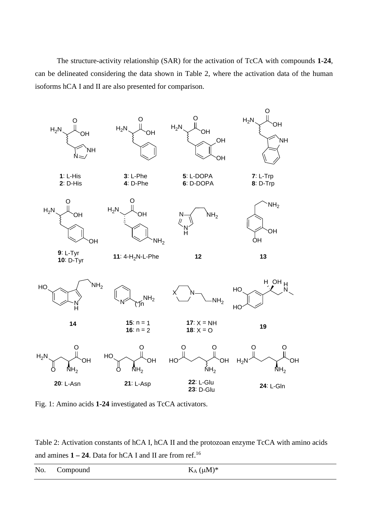The structure-activity relationship (SAR) for the activation of TcCA with compounds **1-24**, can be delineated considering the data shown in Table 2, where the activation data of the human isoforms hCA I and II are also presented for comparison.



Fig. 1: Amino acids **1-24** investigated as TcCA activators.

Table 2: Activation constants of hCA I, hCA II and the protozoan enzyme TcCA with amino acids and amines **1 – 24**. Data for hCA I and II are from ref.16

|  | No. Compound | $K_A (\mu M)^*$ |
|--|--------------|-----------------|
|--|--------------|-----------------|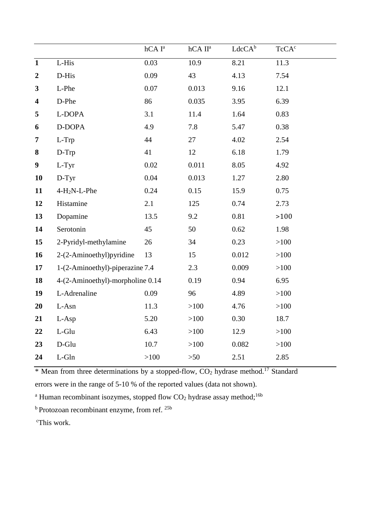|                         |                                  | $hCAI^a$ | hCA II <sup>a</sup> | $LdcCA^b$ | TcCA <sup>c</sup> |
|-------------------------|----------------------------------|----------|---------------------|-----------|-------------------|
| $\overline{1}$          | L-His                            | 0.03     | 10.9                | 8.21      | 11.3              |
| $\boldsymbol{2}$        | D-His                            | 0.09     | 43                  | 4.13      | 7.54              |
| $\mathbf{3}$            | L-Phe                            | 0.07     | 0.013               | 9.16      | 12.1              |
| $\overline{\mathbf{4}}$ | D-Phe                            | 86       | 0.035               | 3.95      | 6.39              |
| 5                       | L-DOPA                           | 3.1      | 11.4                | 1.64      | 0.83              |
| 6                       | D-DOPA                           | 4.9      | 7.8                 | 5.47      | 0.38              |
| $\overline{7}$          | L-Trp                            | 44       | 27                  | 4.02      | 2.54              |
| 8                       | D-Trp                            | 41       | 12                  | 6.18      | 1.79              |
| $\boldsymbol{9}$        | L-Tyr                            | 0.02     | 0.011               | 8.05      | 4.92              |
| 10                      | D-Tyr                            | 0.04     | 0.013               | 1.27      | 2.80              |
| 11                      | $4-H2N-L-Phe$                    | 0.24     | 0.15                | 15.9      | 0.75              |
| 12                      | Histamine                        | 2.1      | 125                 | 0.74      | 2.73              |
| 13                      | Dopamine                         | 13.5     | 9.2                 | 0.81      | $>100$            |
| 14                      | Serotonin                        | 45       | 50                  | 0.62      | 1.98              |
| 15                      | 2-Pyridyl-methylamine            | 26       | 34                  | 0.23      | >100              |
| 16                      | 2-(2-Aminoethyl)pyridine         | 13       | 15                  | 0.012     | >100              |
| 17                      | 1-(2-Aminoethyl)-piperazine 7.4  |          | 2.3                 | 0.009     | >100              |
| 18                      | 4-(2-Aminoethyl)-morpholine 0.14 |          | 0.19                | 0.94      | 6.95              |
| 19                      | L-Adrenaline                     | 0.09     | 96                  | 4.89      | $>100$            |
| 20                      | L-Asn                            | 11.3     | $>100$              | 4.76      | >100              |
| 21                      | L-Asp                            | 5.20     | $>100$              | 0.30      | 18.7              |
| 22                      | L-Glu                            | 6.43     | >100                | 12.9      | >100              |
| 23                      | $D$ -Glu                         | 10.7     | $>100$              | 0.082     | >100              |
| 24                      | $L$ -Gln                         | >100     | $>50$               | 2.51      | 2.85              |

\* Mean from three determinations by a stopped-flow, CO<sub>2</sub> hydrase method.<sup>17</sup> Standard errors were in the range of 5-10 % of the reported values (data not shown).

<sup>a</sup> Human recombinant isozymes, stopped flow  $CO<sub>2</sub>$  hydrase assay method;<sup>16b</sup>

<sup>b</sup> Protozoan recombinant enzyme, from ref.<sup>25b</sup>

c This work.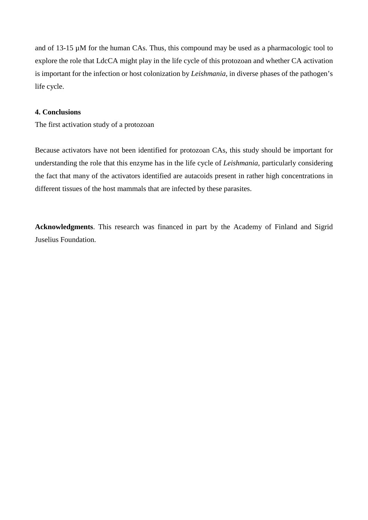and of 13-15 µM for the human CAs. Thus, this compound may be used as a pharmacologic tool to explore the role that LdcCA might play in the life cycle of this protozoan and whether CA activation is important for the infection or host colonization by *Leishmania*, in diverse phases of the pathogen's life cycle.

## **4. Conclusions**

The first activation study of a protozoan

Because activators have not been identified for protozoan CAs, this study should be important for understanding the role that this enzyme has in the life cycle of *Leishmania*, particularly considering the fact that many of the activators identified are autacoids present in rather high concentrations in different tissues of the host mammals that are infected by these parasites.

**Acknowledgments**. This research was financed in part by the Academy of Finland and Sigrid Juselius Foundation.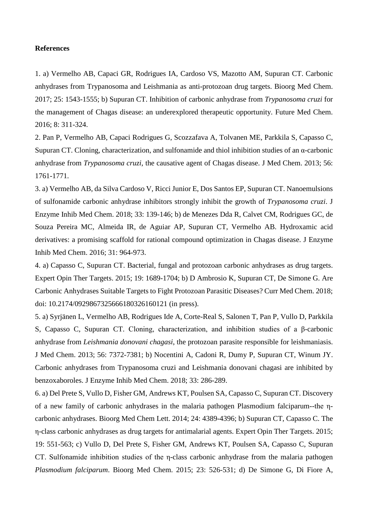#### **References**

1. a) Vermelho AB, Capaci GR, Rodrigues IA, Cardoso VS, Mazotto AM, Supuran CT. Carbonic anhydrases from Trypanosoma and Leishmania as anti-protozoan drug targets. Bioorg Med Chem. 2017; 25: 1543-1555; b) Supuran CT. Inhibition of carbonic anhydrase from *Trypanosoma cruzi* for the management of Chagas disease: an underexplored therapeutic opportunity. Future Med Chem. 2016; 8: 311-324.

2. Pan P, Vermelho AB, Capaci Rodrigues G, Scozzafava A, Tolvanen ME, Parkkila S, Capasso C, Supuran CT. Cloning, characterization, and sulfonamide and thiol inhibition studies of an α-carbonic anhydrase from *Trypanosoma cruzi*, the causative agent of Chagas disease. J Med Chem. 2013; 56: 1761-1771.

3. a) Vermelho AB, da Silva Cardoso V, Ricci Junior E, Dos Santos EP, Supuran CT. Nanoemulsions of sulfonamide carbonic anhydrase inhibitors strongly inhibit the growth of *Trypanosoma cruzi*. J Enzyme Inhib Med Chem. 2018; 33: 139-146; b) de Menezes Dda R, Calvet CM, Rodrigues GC, de Souza Pereira MC, Almeida IR, de Aguiar AP, Supuran CT, Vermelho AB. Hydroxamic acid derivatives: a promising scaffold for rational compound optimization in Chagas disease. J Enzyme Inhib Med Chem. 2016; 31: 964-973.

4. a) Capasso C, Supuran CT. Bacterial, fungal and protozoan carbonic anhydrases as drug targets. Expert Opin Ther Targets. 2015; 19: 1689-1704; b) D Ambrosio K, Supuran CT, De Simone G. Are Carbonic Anhydrases Suitable Targets to Fight Protozoan Parasitic Diseases? Curr Med Chem. 2018; doi: 10.2174/0929867325666180326160121 (in press).

5. a) Syrjänen L, Vermelho AB, Rodrigues Ide A, Corte-Real S, Salonen T, Pan P, Vullo D, Parkkila S, Capasso C, Supuran CT. Cloning, characterization, and inhibition studies of a β-carbonic anhydrase from *Leishmania donovani chagasi*, the protozoan parasite responsible for leishmaniasis. J Med Chem. 2013; 56: 7372-7381; b) Nocentini A, Cadoni R, Dumy P, Supuran CT, Winum JY. Carbonic anhydrases from Trypanosoma cruzi and Leishmania donovani chagasi are inhibited by benzoxaboroles. J Enzyme Inhib Med Chem. 2018; 33: 286-289.

6. a) Del Prete S, Vullo D, Fisher GM, Andrews KT, Poulsen SA, Capasso C, Supuran CT. Discovery of a new family of carbonic anhydrases in the malaria pathogen Plasmodium falciparum--the ηcarbonic anhydrases. Bioorg Med Chem Lett. 2014; 24: 4389-4396; b) Supuran CT, Capasso C. The η-class carbonic anhydrases as drug targets for antimalarial agents. Expert Opin Ther Targets. 2015; 19: 551-563; c) Vullo D, Del Prete S, Fisher GM, Andrews KT, Poulsen SA, Capasso C, Supuran CT. Sulfonamide inhibition studies of the η-class carbonic anhydrase from the malaria pathogen *Plasmodium falciparum*. Bioorg Med Chem. 2015; 23: 526-531; d) De Simone G, Di Fiore A,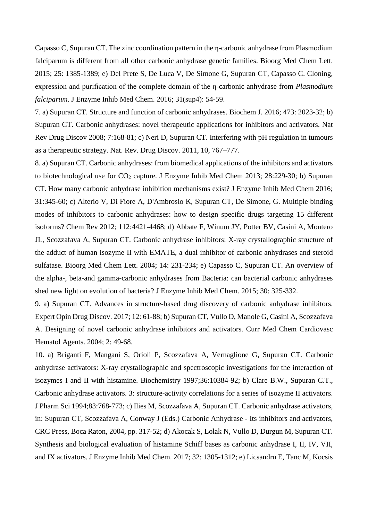Capasso C, Supuran CT. The zinc coordination pattern in the η-carbonic anhydrase from Plasmodium falciparum is different from all other carbonic anhydrase genetic families. Bioorg Med Chem Lett. 2015; 25: 1385-1389; e) Del Prete S, De Luca V, De Simone G, Supuran CT, Capasso C. Cloning, expression and purification of the complete domain of the η-carbonic anhydrase from *Plasmodium falciparum*. J Enzyme Inhib Med Chem. 2016; 31(sup4): 54-59.

7. a) Supuran CT. Structure and function of carbonic anhydrases. Biochem J. 2016; 473: 2023-32; b) Supuran CT. Carbonic anhydrases: novel therapeutic applications for inhibitors and activators. Nat Rev Drug Discov 2008; 7:168-81; c) Neri D, Supuran CT. Interfering with pH regulation in tumours as a therapeutic strategy. Nat. Rev. Drug Discov. 2011, 10, 767–777.

8. a) Supuran CT. Carbonic anhydrases: from biomedical applications of the inhibitors and activators to biotechnological use for  $CO<sub>2</sub>$  capture. J Enzyme Inhib Med Chem 2013; 28:229-30; b) Supuran CT. How many carbonic anhydrase inhibition mechanisms exist? J Enzyme Inhib Med Chem 2016; 31:345-60; c) Alterio V, Di Fiore A, D'Ambrosio K, Supuran CT, De Simone, G. Multiple binding modes of inhibitors to carbonic anhydrases: how to design specific drugs targeting 15 different isoforms? Chem Rev 2012; 112:4421-4468; d) Abbate F, Winum JY, Potter BV, Casini A, Montero JL, Scozzafava A, Supuran CT. Carbonic anhydrase inhibitors: X-ray crystallographic structure of the adduct of human isozyme II with EMATE, a dual inhibitor of carbonic anhydrases and steroid sulfatase. Bioorg Med Chem Lett. 2004; 14: 231-234; e) Capasso C, Supuran CT. An overview of the alpha-, beta-and gamma-carbonic anhydrases from Bacteria: can bacterial carbonic anhydrases shed new light on evolution of bacteria? J Enzyme Inhib Med Chem. 2015; 30: 325-332.

9. a) Supuran CT. Advances in structure-based drug discovery of carbonic anhydrase inhibitors. Expert Opin Drug Discov. 2017; 12: 61-88; b) Supuran CT, Vullo D, Manole G, Casini A, Scozzafava A. Designing of novel carbonic anhydrase inhibitors and activators. Curr Med Chem Cardiovasc Hematol Agents. 2004; 2: 49-68.

10. a) Briganti F, Mangani S, Orioli P, Scozzafava A, Vernaglione G, Supuran CT. Carbonic anhydrase activators: X-ray crystallographic and spectroscopic investigations for the interaction of isozymes I and II with histamine. Biochemistry 1997;36:10384-92; b) Clare B.W., Supuran C.T., Carbonic anhydrase activators. 3: structure-activity correlations for a series of isozyme II activators. J Pharm Sci 1994;83:768-773; c) Ilies M, Scozzafava A, Supuran CT. Carbonic anhydrase activators, in: Supuran CT, Scozzafava A, Conway J (Eds.) Carbonic Anhydrase - Its inhibitors and activators, CRC Press, Boca Raton, 2004, pp. 317-52; d) Akocak S, Lolak N, Vullo D, Durgun M, Supuran CT. Synthesis and biological evaluation of histamine Schiff bases as carbonic anhydrase I, II, IV, VII, and IX activators. J Enzyme Inhib Med Chem. 2017; 32: 1305-1312; e) Licsandru E, Tanc M, Kocsis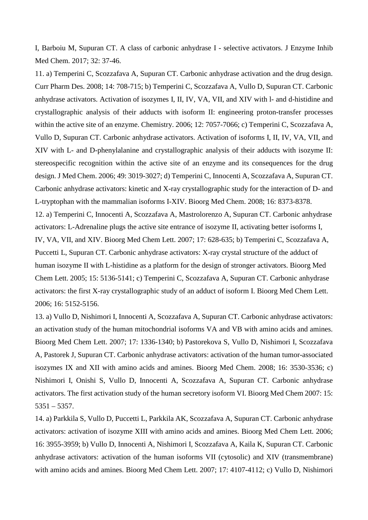I, Barboiu M, Supuran CT. A class of carbonic anhydrase I - selective activators. J Enzyme Inhib Med Chem. 2017; 32: 37-46.

11. a) Temperini C, Scozzafava A, Supuran CT. Carbonic anhydrase activation and the drug design. Curr Pharm Des. 2008; 14: 708-715; b) Temperini C, Scozzafava A, Vullo D, Supuran CT. Carbonic anhydrase activators. Activation of isozymes I, II, IV, VA, VII, and XIV with l- and d-histidine and crystallographic analysis of their adducts with isoform II: engineering proton-transfer processes within the active site of an enzyme. Chemistry. 2006; 12: 7057-7066; c) Temperini C, Scozzafava A, Vullo D, Supuran CT. Carbonic anhydrase activators. Activation of isoforms I, II, IV, VA, VII, and XIV with L- and D-phenylalanine and crystallographic analysis of their adducts with isozyme II: stereospecific recognition within the active site of an enzyme and its consequences for the drug design. J Med Chem. 2006; 49: 3019-3027; d) Temperini C, Innocenti A, Scozzafava A, Supuran CT. Carbonic anhydrase activators: kinetic and X-ray crystallographic study for the interaction of D- and L-tryptophan with the mammalian isoforms I-XIV. Bioorg Med Chem. 2008; 16: 8373-8378. 12. a) Temperini C, Innocenti A, Scozzafava A, Mastrolorenzo A, Supuran CT. Carbonic anhydrase activators: L-Adrenaline plugs the active site entrance of isozyme II, activating better isoforms I, IV, VA, VII, and XIV. Bioorg Med Chem Lett. 2007; 17: 628-635; b) Temperini C, Scozzafava A, Puccetti L, Supuran CT. Carbonic anhydrase activators: X-ray crystal structure of the adduct of human isozyme II with L-histidine as a platform for the design of stronger activators. Bioorg Med Chem Lett. 2005; 15: 5136-5141; c) Temperini C, Scozzafava A, Supuran CT. Carbonic anhydrase activators: the first X-ray crystallographic study of an adduct of isoform I. Bioorg Med Chem Lett. 2006; 16: 5152-5156.

13. a) Vullo D, Nishimori I, Innocenti A, Scozzafava A, Supuran CT. Carbonic anhydrase activators: an activation study of the human mitochondrial isoforms VA and VB with amino acids and amines. Bioorg Med Chem Lett. 2007; 17: 1336-1340; b) Pastorekova S, Vullo D, Nishimori I, Scozzafava A, Pastorek J, Supuran CT. Carbonic anhydrase activators: activation of the human tumor-associated isozymes IX and XII with amino acids and amines. Bioorg Med Chem. 2008; 16: 3530-3536; c) Nishimori I, Onishi S, Vullo D, Innocenti A, Scozzafava A, Supuran CT. Carbonic anhydrase activators. The first activation study of the human secretory isoform VI. Bioorg Med Chem 2007: 15: 5351 – 5357.

14. a) Parkkila S, Vullo D, Puccetti L, Parkkila AK, Scozzafava A, Supuran CT. Carbonic anhydrase activators: activation of isozyme XIII with amino acids and amines. Bioorg Med Chem Lett. 2006; 16: 3955-3959; b) Vullo D, Innocenti A, Nishimori I, Scozzafava A, Kaila K, Supuran CT. Carbonic anhydrase activators: activation of the human isoforms VII (cytosolic) and XIV (transmembrane) with amino acids and amines. Bioorg Med Chem Lett. 2007; 17: 4107-4112; c) Vullo D, Nishimori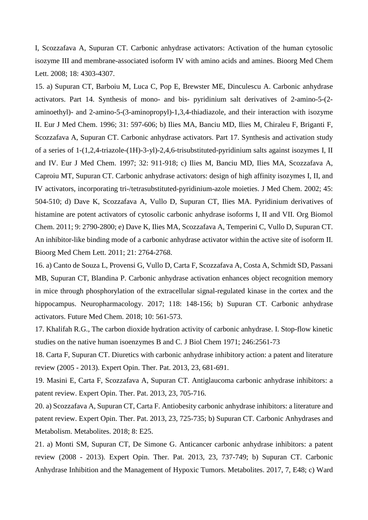I, Scozzafava A, Supuran CT. Carbonic anhydrase activators: Activation of the human cytosolic isozyme III and membrane-associated isoform IV with amino acids and amines. Bioorg Med Chem Lett. 2008; 18: 4303-4307.

15. a) Supuran CT, Barboiu M, Luca C, Pop E, Brewster ME, Dinculescu A. Carbonic anhydrase activators. Part 14. Synthesis of mono- and bis- pyridinium salt derivatives of 2-amino-5-(2 aminoethyl)- and 2-amino-5-(3-aminopropyl)-1,3,4-thiadiazole, and their interaction with isozyme II. Eur J Med Chem. 1996; 31: 597-606; b) Ilies MA, Banciu MD, Ilies M, Chiraleu F, Briganti F, Scozzafava A, Supuran CT. Carbonic anhydrase activators. Part 17. Synthesis and activation study of a series of 1-(1,2,4-triazole-(1H)-3-yl)-2,4,6-trisubstituted-pyridinium salts against isozymes I, II and IV. Eur J Med Chem. 1997; 32: 911-918; c) Ilies M, Banciu MD, Ilies MA, Scozzafava A, Caproiu MT, Supuran CT. Carbonic anhydrase activators: design of high affinity isozymes I, II, and IV activators, incorporating tri-/tetrasubstituted-pyridinium-azole moieties. J Med Chem. 2002; 45: 504-510; d) Dave K, Scozzafava A, Vullo D, Supuran CT, Ilies MA. Pyridinium derivatives of histamine are potent activators of cytosolic carbonic anhydrase isoforms I, II and VII. Org Biomol Chem. 2011; 9: 2790-2800; e) Dave K, Ilies MA, Scozzafava A, Temperini C, Vullo D, Supuran CT. An inhibitor-like binding mode of a carbonic anhydrase activator within the active site of isoform II. Bioorg Med Chem Lett. 2011; 21: 2764-2768.

16. a) Canto de Souza L, Provensi G, Vullo D, Carta F, Scozzafava A, Costa A, Schmidt SD, Passani MB, Supuran CT, Blandina P. Carbonic anhydrase activation enhances object recognition memory in mice through phosphorylation of the extracellular signal-regulated kinase in the cortex and the hippocampus. Neuropharmacology. 2017; 118: 148-156; b) Supuran CT. Carbonic anhydrase activators. Future Med Chem. 2018; 10: 561-573.

17. Khalifah R.G., The carbon dioxide hydration activity of carbonic anhydrase. I. Stop-flow kinetic studies on the native human isoenzymes B and C. J Biol Chem 1971; 246:2561-73

18. Carta F, Supuran CT. Diuretics with carbonic anhydrase inhibitory action: a patent and literature review (2005 - 2013). Expert Opin. Ther. Pat. 2013, 23, 681-691.

19. Masini E, Carta F, Scozzafava A, Supuran CT. Antiglaucoma carbonic anhydrase inhibitors: a patent review. Expert Opin. Ther. Pat. 2013, 23, 705-716.

20. a) Scozzafava A, Supuran CT, Carta F. Antiobesity carbonic anhydrase inhibitors: a literature and patent review. Expert Opin. Ther. Pat. 2013, 23, 725-735; b) Supuran CT. Carbonic Anhydrases and Metabolism. Metabolites. 2018; 8: E25.

21. a) Monti SM, Supuran CT, De Simone G. Anticancer carbonic anhydrase inhibitors: a patent review (2008 - 2013). Expert Opin. Ther. Pat. 2013, 23, 737-749; b) Supuran CT. Carbonic Anhydrase Inhibition and the Management of Hypoxic Tumors. Metabolites. 2017, 7, E48; c) Ward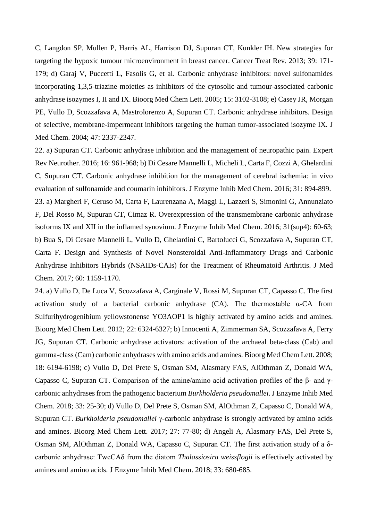C, Langdon SP, Mullen P, Harris AL, Harrison DJ, Supuran CT, Kunkler IH. New strategies for targeting the hypoxic tumour microenvironment in breast cancer. Cancer Treat Rev. 2013; 39: 171- 179; d) Garaj V, Puccetti L, Fasolis G, et al. Carbonic anhydrase inhibitors: novel sulfonamides incorporating 1,3,5-triazine moieties as inhibitors of the cytosolic and tumour-associated carbonic anhydrase isozymes I, II and IX. Bioorg Med Chem Lett. 2005; 15: 3102-3108; e) Casey JR, Morgan PE, Vullo D, Scozzafava A, Mastrolorenzo A, Supuran CT. Carbonic anhydrase inhibitors. Design of selective, membrane-impermeant inhibitors targeting the human tumor-associated isozyme IX. J Med Chem. 2004; 47: 2337-2347.

22. a) Supuran CT. Carbonic anhydrase inhibition and the management of neuropathic pain. Expert Rev Neurother. 2016; 16: 961-968; b) Di Cesare Mannelli L, Micheli L, Carta F, Cozzi A, Ghelardini C, Supuran CT. Carbonic anhydrase inhibition for the management of cerebral ischemia: in vivo evaluation of sulfonamide and coumarin inhibitors. J Enzyme Inhib Med Chem. 2016; 31: 894-899. 23. a) Margheri F, Ceruso M, Carta F, Laurenzana A, Maggi L, Lazzeri S, Simonini G, Annunziato F, Del Rosso M, Supuran CT, Cimaz R. Overexpression of the transmembrane carbonic anhydrase isoforms IX and XII in the inflamed synovium. J Enzyme Inhib Med Chem. 2016; 31(sup4): 60-63; b) Bua S, Di Cesare Mannelli L, Vullo D, Ghelardini C, Bartolucci G, Scozzafava A, Supuran CT, Carta F. Design and Synthesis of Novel Nonsteroidal Anti-Inflammatory Drugs and Carbonic Anhydrase Inhibitors Hybrids (NSAIDs-CAIs) for the Treatment of Rheumatoid Arthritis. J Med Chem. 2017; 60: 1159-1170.

24. a) Vullo D, De Luca V, Scozzafava A, Carginale V, Rossi M, Supuran CT, Capasso C. The first activation study of a bacterial carbonic anhydrase  $(CA)$ . The thermostable  $\alpha$ -CA from Sulfurihydrogenibium yellowstonense YO3AOP1 is highly activated by amino acids and amines. Bioorg Med Chem Lett. 2012; 22: 6324-6327; b) Innocenti A, Zimmerman SA, Scozzafava A, Ferry JG, Supuran CT. Carbonic anhydrase activators: activation of the archaeal beta-class (Cab) and gamma-class (Cam) carbonic anhydrases with amino acids and amines. Bioorg Med Chem Lett. 2008; 18: 6194-6198; c) Vullo D, Del Prete S, Osman SM, Alasmary FAS, AlOthman Z, Donald WA, Capasso C, Supuran CT. Comparison of the amine/amino acid activation profiles of the β- and γcarbonic anhydrases from the pathogenic bacterium *Burkholderia pseudomallei*. J Enzyme Inhib Med Chem. 2018; 33: 25-30; d) Vullo D, Del Prete S, Osman SM, AlOthman Z, Capasso C, Donald WA, Supuran CT. *Burkholderia pseudomallei* γ-carbonic anhydrase is strongly activated by amino acids and amines. Bioorg Med Chem Lett. 2017; 27: 77-80; d) Angeli A, Alasmary FAS, Del Prete S, Osman SM, AlOthman Z, Donald WA, Capasso C, Supuran CT. The first activation study of a δcarbonic anhydrase: TweCAδ from the diatom *Thalassiosira weissflogii* is effectively activated by amines and amino acids. J Enzyme Inhib Med Chem. 2018; 33: 680-685.